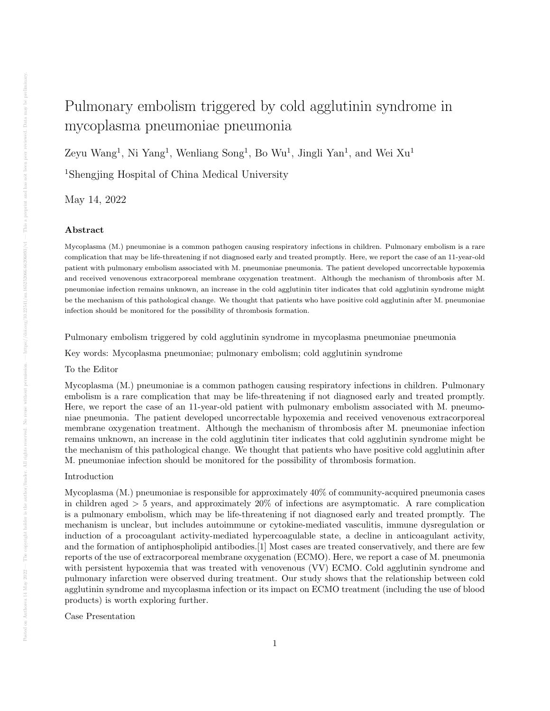# Pulmonary embolism triggered by cold agglutinin syndrome in mycoplasma pneumoniae pneumonia

Zeyu Wang<sup>1</sup>, Ni Yang<sup>1</sup>, Wenliang Song<sup>1</sup>, Bo Wu<sup>1</sup>, Jingli Yan<sup>1</sup>, and Wei Xu<sup>1</sup>

<sup>1</sup>Shengjing Hospital of China Medical University

May 14, 2022

## Abstract

Mycoplasma (M.) pneumoniae is a common pathogen causing respiratory infections in children. Pulmonary embolism is a rare complication that may be life-threatening if not diagnosed early and treated promptly. Here, we report the case of an 11-year-old patient with pulmonary embolism associated with M. pneumoniae pneumonia. The patient developed uncorrectable hypoxemia and received venovenous extracorporeal membrane oxygenation treatment. Although the mechanism of thrombosis after M. pneumoniae infection remains unknown, an increase in the cold agglutinin titer indicates that cold agglutinin syndrome might be the mechanism of this pathological change. We thought that patients who have positive cold agglutinin after M. pneumoniae infection should be monitored for the possibility of thrombosis formation.

Pulmonary embolism triggered by cold agglutinin syndrome in mycoplasma pneumoniae pneumonia

Key words: Mycoplasma pneumoniae; pulmonary embolism; cold agglutinin syndrome

## To the Editor

Mycoplasma (M.) pneumoniae is a common pathogen causing respiratory infections in children. Pulmonary embolism is a rare complication that may be life-threatening if not diagnosed early and treated promptly. Here, we report the case of an 11-year-old patient with pulmonary embolism associated with M. pneumoniae pneumonia. The patient developed uncorrectable hypoxemia and received venovenous extracorporeal membrane oxygenation treatment. Although the mechanism of thrombosis after M. pneumoniae infection remains unknown, an increase in the cold agglutinin titer indicates that cold agglutinin syndrome might be the mechanism of this pathological change. We thought that patients who have positive cold agglutinin after M. pneumoniae infection should be monitored for the possibility of thrombosis formation.

### Introduction

Mycoplasma (M.) pneumoniae is responsible for approximately 40% of community-acquired pneumonia cases in children aged > 5 years, and approximately 20% of infections are asymptomatic. A rare complication is a pulmonary embolism, which may be life-threatening if not diagnosed early and treated promptly. The mechanism is unclear, but includes autoimmune or cytokine-mediated vasculitis, immune dysregulation or induction of a procoagulant activity-mediated hypercoagulable state, a decline in anticoagulant activity, and the formation of antiphospholipid antibodies.[1] Most cases are treated conservatively, and there are few reports of the use of extracorporeal membrane oxygenation (ECMO). Here, we report a case of M. pneumonia with persistent hypoxemia that was treated with venovenous (VV) ECMO. Cold agglutinin syndrome and pulmonary infarction were observed during treatment. Our study shows that the relationship between cold agglutinin syndrome and mycoplasma infection or its impact on ECMO treatment (including the use of blood products) is worth exploring further.

Case Presentation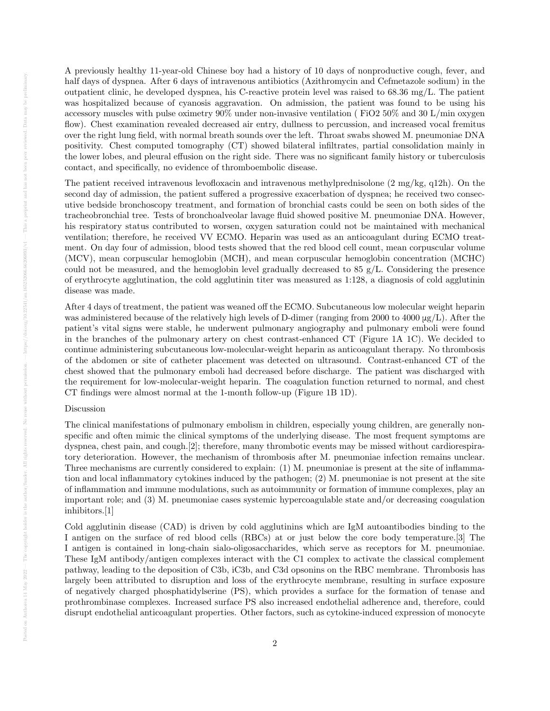A previously healthy 11-year-old Chinese boy had a history of 10 days of nonproductive cough, fever, and half days of dyspnea. After 6 days of intravenous antibiotics (Azithromycin and Cefmetazole sodium) in the outpatient clinic, he developed dyspnea, his C-reactive protein level was raised to 68.36 mg/L. The patient was hospitalized because of cyanosis aggravation. On admission, the patient was found to be using his accessory muscles with pulse oximetry 90% under non-invasive ventilation ( FiO2 50% and 30 L/min oxygen flow). Chest examination revealed decreased air entry, dullness to percussion, and increased vocal fremitus over the right lung field, with normal breath sounds over the left. Throat swabs showed M. pneumoniae DNA positivity. Chest computed tomography (CT) showed bilateral infiltrates, partial consolidation mainly in the lower lobes, and pleural effusion on the right side. There was no significant family history or tuberculosis contact, and specifically, no evidence of thromboembolic disease.

The patient received intravenous levofloxacin and intravenous methylprednisolone (2 mg/kg, q12h). On the second day of admission, the patient suffered a progressive exacerbation of dyspnea; he received two consecutive bedside bronchoscopy treatment, and formation of bronchial casts could be seen on both sides of the tracheobronchial tree. Tests of bronchoalveolar lavage fluid showed positive M. pneumoniae DNA. However, his respiratory status contributed to worsen, oxygen saturation could not be maintained with mechanical ventilation; therefore, he received VV ECMO. Heparin was used as an anticoagulant during ECMO treatment. On day four of admission, blood tests showed that the red blood cell count, mean corpuscular volume (MCV), mean corpuscular hemoglobin (MCH), and mean corpuscular hemoglobin concentration (MCHC) could not be measured, and the hemoglobin level gradually decreased to  $85 \text{ g/L}$ . Considering the presence of erythrocyte agglutination, the cold agglutinin titer was measured as 1:128, a diagnosis of cold agglutinin disease was made.

After 4 days of treatment, the patient was weaned off the ECMO. Subcutaneous low molecular weight heparin was administered because of the relatively high levels of D-dimer (ranging from 2000 to  $4000 \mu g/L$ ). After the patient's vital signs were stable, he underwent pulmonary angiography and pulmonary emboli were found in the branches of the pulmonary artery on chest contrast-enhanced CT (Figure 1A 1C). We decided to continue administering subcutaneous low-molecular-weight heparin as anticoagulant therapy. No thrombosis of the abdomen or site of catheter placement was detected on ultrasound. Contrast-enhanced CT of the chest showed that the pulmonary emboli had decreased before discharge. The patient was discharged with the requirement for low-molecular-weight heparin. The coagulation function returned to normal, and chest CT findings were almost normal at the 1-month follow-up (Figure 1B 1D).

#### Discussion

The clinical manifestations of pulmonary embolism in children, especially young children, are generally nonspecific and often mimic the clinical symptoms of the underlying disease. The most frequent symptoms are dyspnea, chest pain, and cough.[2]; therefore, many thrombotic events may be missed without cardiorespiratory deterioration. However, the mechanism of thrombosis after M. pneumoniae infection remains unclear. Three mechanisms are currently considered to explain: (1) M. pneumoniae is present at the site of inflammation and local inflammatory cytokines induced by the pathogen; (2) M. pneumoniae is not present at the site of inflammation and immune modulations, such as autoimmunity or formation of immune complexes, play an important role; and (3) M. pneumoniae cases systemic hypercoagulable state and/or decreasing coagulation inhibitors.[1]

Cold agglutinin disease (CAD) is driven by cold agglutinins which are IgM autoantibodies binding to the I antigen on the surface of red blood cells (RBCs) at or just below the core body temperature.[3] The I antigen is contained in long-chain sialo-oligosaccharides, which serve as receptors for M. pneumoniae. These IgM antibody/antigen complexes interact with the C1 complex to activate the classical complement pathway, leading to the deposition of C3b, iC3b, and C3d opsonins on the RBC membrane. Thrombosis has largely been attributed to disruption and loss of the erythrocyte membrane, resulting in surface exposure of negatively charged phosphatidylserine (PS), which provides a surface for the formation of tenase and prothrombinase complexes. Increased surface PS also increased endothelial adherence and, therefore, could disrupt endothelial anticoagulant properties. Other factors, such as cytokine-induced expression of monocyte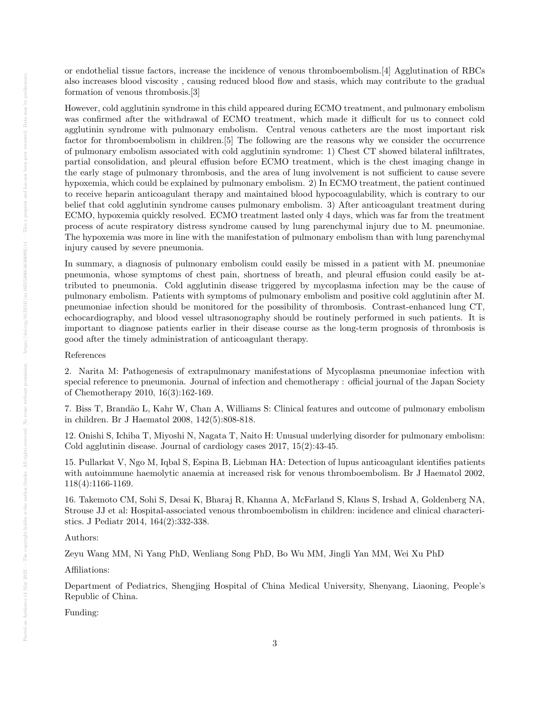or endothelial tissue factors, increase the incidence of venous thromboembolism.[4] Agglutination of RBCs also increases blood viscosity , causing reduced blood flow and stasis, which may contribute to the gradual formation of venous thrombosis.[3]

However, cold agglutinin syndrome in this child appeared during ECMO treatment, and pulmonary embolism was confirmed after the withdrawal of ECMO treatment, which made it difficult for us to connect cold agglutinin syndrome with pulmonary embolism. Central venous catheters are the most important risk factor for thromboembolism in children.[5] The following are the reasons why we consider the occurrence of pulmonary embolism associated with cold agglutinin syndrome: 1) Chest CT showed bilateral infiltrates, partial consolidation, and pleural effusion before ECMO treatment, which is the chest imaging change in the early stage of pulmonary thrombosis, and the area of lung involvement is not sufficient to cause severe hypoxemia, which could be explained by pulmonary embolism. 2) In ECMO treatment, the patient continued to receive heparin anticoagulant therapy and maintained blood hypocoagulability, which is contrary to our belief that cold agglutinin syndrome causes pulmonary embolism. 3) After anticoagulant treatment during ECMO, hypoxemia quickly resolved. ECMO treatment lasted only 4 days, which was far from the treatment process of acute respiratory distress syndrome caused by lung parenchymal injury due to M. pneumoniae. The hypoxemia was more in line with the manifestation of pulmonary embolism than with lung parenchymal injury caused by severe pneumonia.

In summary, a diagnosis of pulmonary embolism could easily be missed in a patient with M. pneumoniae pneumonia, whose symptoms of chest pain, shortness of breath, and pleural effusion could easily be attributed to pneumonia. Cold agglutinin disease triggered by mycoplasma infection may be the cause of pulmonary embolism. Patients with symptoms of pulmonary embolism and positive cold agglutinin after M. pneumoniae infection should be monitored for the possibility of thrombosis. Contrast-enhanced lung CT, echocardiography, and blood vessel ultrasonography should be routinely performed in such patients. It is important to diagnose patients earlier in their disease course as the long-term prognosis of thrombosis is good after the timely administration of anticoagulant therapy.

#### References

2. Narita M: Pathogenesis of extrapulmonary manifestations of Mycoplasma pneumoniae infection with special reference to pneumonia. Journal of infection and chemotherapy : official journal of the Japan Society of Chemotherapy 2010, 16(3):162-169.

7. Biss T, Brand˜ao L, Kahr W, Chan A, Williams S: Clinical features and outcome of pulmonary embolism in children. Br J Haematol 2008, 142(5):808-818.

12. Onishi S, Ichiba T, Miyoshi N, Nagata T, Naito H: Unusual underlying disorder for pulmonary embolism: Cold agglutinin disease. Journal of cardiology cases 2017, 15(2):43-45.

15. Pullarkat V, Ngo M, Iqbal S, Espina B, Liebman HA: Detection of lupus anticoagulant identifies patients with autoimmune haemolytic anaemia at increased risk for venous thromboembolism. Br J Haematol 2002, 118(4):1166-1169.

16. Takemoto CM, Sohi S, Desai K, Bharaj R, Khanna A, McFarland S, Klaus S, Irshad A, Goldenberg NA, Strouse JJ et al: Hospital-associated venous thromboembolism in children: incidence and clinical characteristics. J Pediatr 2014, 164(2):332-338.

#### Authors:

Zeyu Wang MM, Ni Yang PhD, Wenliang Song PhD, Bo Wu MM, Jingli Yan MM, Wei Xu PhD

#### Affiliations:

Department of Pediatrics, Shengjing Hospital of China Medical University, Shenyang, Liaoning, People's Republic of China.

Funding: